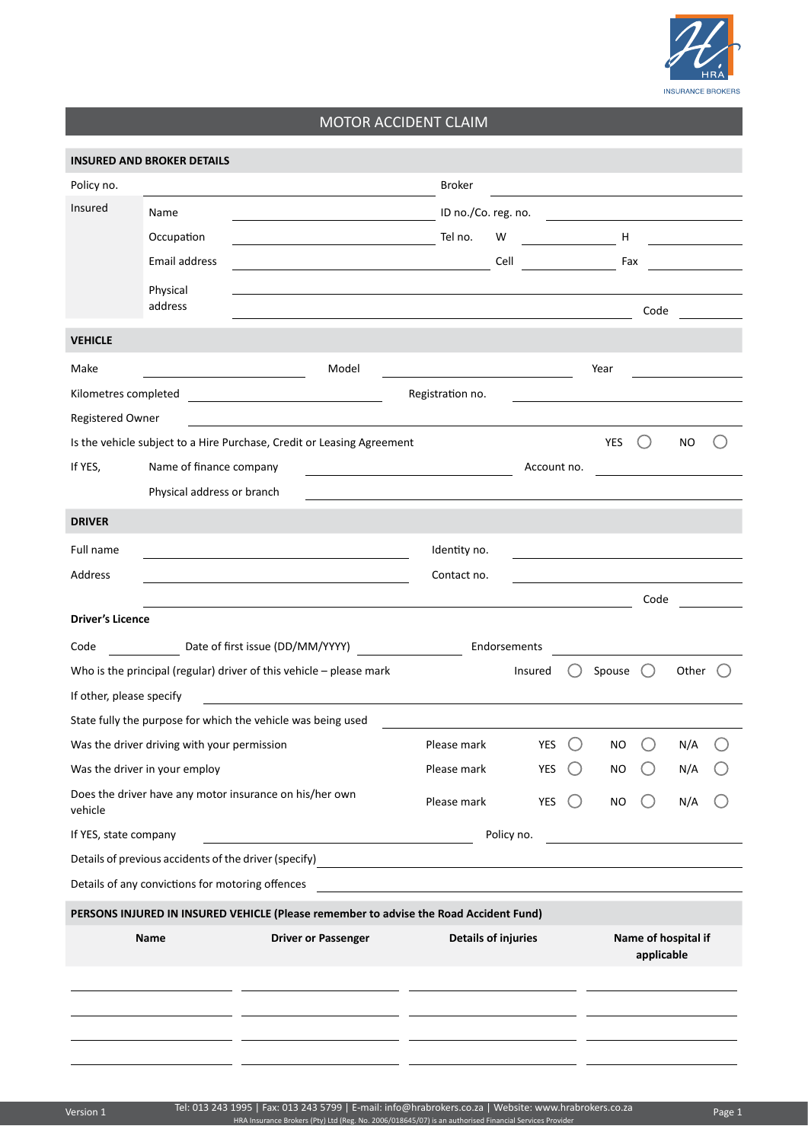

## MOTOR ACCIDENT CLAIM

|                                                                       | <b>INSURED AND BROKER DETAILS</b>                                                                                                                |                                                                                                                                                                                                                               |                            |            |             |       |                                   |      |                                           |  |
|-----------------------------------------------------------------------|--------------------------------------------------------------------------------------------------------------------------------------------------|-------------------------------------------------------------------------------------------------------------------------------------------------------------------------------------------------------------------------------|----------------------------|------------|-------------|-------|-----------------------------------|------|-------------------------------------------|--|
| Policy no.                                                            |                                                                                                                                                  |                                                                                                                                                                                                                               | <b>Broker</b>              |            |             |       |                                   |      |                                           |  |
| Insured                                                               | Name                                                                                                                                             | <u> 1980 - Johann Barnett, fransk politik (</u>                                                                                                                                                                               | ID no./Co. reg. no.        |            |             |       |                                   |      |                                           |  |
|                                                                       | Occupation                                                                                                                                       |                                                                                                                                                                                                                               | Tel no.                    | W          |             |       | <b>Harry Harry Harry Harry</b>    |      | <u>and the community of the community</u> |  |
|                                                                       | Email address                                                                                                                                    | <u> 1989 - Johann Barn, fransk politik amerikansk politik (</u>                                                                                                                                                               |                            | Cell       |             |       | Fax                               |      | <u> 1989 - Jan Jawa</u>                   |  |
|                                                                       | Physical                                                                                                                                         | the control of the control of the control of the control of the control of the control of the control of the control of the control of the control of the control of the control of the control of the control of the control |                            |            |             |       |                                   |      |                                           |  |
|                                                                       | address                                                                                                                                          | and the control of the control of the control of the control of the control of the control of the control of the                                                                                                              |                            |            |             |       |                                   | Code |                                           |  |
| <b>VEHICLE</b>                                                        |                                                                                                                                                  |                                                                                                                                                                                                                               |                            |            |             |       |                                   |      |                                           |  |
| Make                                                                  |                                                                                                                                                  | Model                                                                                                                                                                                                                         |                            |            |             |       | Year                              |      |                                           |  |
| Kilometres completed                                                  |                                                                                                                                                  |                                                                                                                                                                                                                               | Registration no.           |            |             |       |                                   |      |                                           |  |
| Registered Owner                                                      |                                                                                                                                                  |                                                                                                                                                                                                                               |                            |            |             |       |                                   |      |                                           |  |
|                                                                       |                                                                                                                                                  | Is the vehicle subject to a Hire Purchase, Credit or Leasing Agreement                                                                                                                                                        |                            |            |             |       | <b>YES</b>                        |      | NO.                                       |  |
| If YES,                                                               | Name of finance company<br><u> 1989 - Johann Barn, mars and de Branch Barn, mars and de Branch Barn, mars and de Branch Barn, mars and de Br</u> |                                                                                                                                                                                                                               |                            |            | Account no. |       |                                   |      |                                           |  |
|                                                                       | Physical address or branch                                                                                                                       |                                                                                                                                                                                                                               |                            |            |             |       |                                   |      |                                           |  |
| <b>DRIVER</b>                                                         |                                                                                                                                                  |                                                                                                                                                                                                                               |                            |            |             |       |                                   |      |                                           |  |
| Full name                                                             |                                                                                                                                                  |                                                                                                                                                                                                                               | Identity no.               |            |             |       |                                   |      |                                           |  |
| Address                                                               |                                                                                                                                                  |                                                                                                                                                                                                                               | Contact no.                |            |             |       |                                   |      |                                           |  |
|                                                                       |                                                                                                                                                  |                                                                                                                                                                                                                               |                            |            |             |       |                                   | Code |                                           |  |
| <b>Driver's Licence</b>                                               |                                                                                                                                                  |                                                                                                                                                                                                                               |                            |            |             |       |                                   |      |                                           |  |
| Code                                                                  | Date of first issue (DD/MM/YYYY)<br>Endorsements                                                                                                 |                                                                                                                                                                                                                               |                            |            |             |       |                                   |      |                                           |  |
| Who is the principal (regular) driver of this vehicle $-$ please mark |                                                                                                                                                  |                                                                                                                                                                                                                               |                            |            | Insured     | $($ ) | Spouse $\bigcirc$                 |      | Other                                     |  |
| If other, please specify                                              |                                                                                                                                                  | <u> 1980 - Jan Barnett, fransk politiker (d. 1980)</u>                                                                                                                                                                        |                            |            |             |       |                                   |      |                                           |  |
|                                                                       |                                                                                                                                                  | State fully the purpose for which the vehicle was being used                                                                                                                                                                  |                            |            |             |       |                                   |      |                                           |  |
|                                                                       | Was the driver driving with your permission                                                                                                      |                                                                                                                                                                                                                               | Please mark                |            | YES         |       | NO                                |      | N/A                                       |  |
|                                                                       | Was the driver in your employ                                                                                                                    |                                                                                                                                                                                                                               | Please mark                |            | <b>YES</b>  |       | NO                                |      | N/A                                       |  |
| vehicle                                                               |                                                                                                                                                  | Does the driver have any motor insurance on his/her own                                                                                                                                                                       | Please mark                |            | <b>YES</b>  |       | <b>NO</b>                         |      | N/A                                       |  |
| If YES, state company                                                 |                                                                                                                                                  | <u> 1989 - Johann Barn, mars and de Branch Barn, mars and de Branch Barn, mars and de Branch Barn, mars and de Br</u>                                                                                                         |                            | Policy no. |             |       |                                   |      |                                           |  |
|                                                                       |                                                                                                                                                  |                                                                                                                                                                                                                               |                            |            |             |       |                                   |      |                                           |  |
|                                                                       | Details of any convictions for motoring offences                                                                                                 |                                                                                                                                                                                                                               |                            |            |             |       |                                   |      |                                           |  |
|                                                                       |                                                                                                                                                  | PERSONS INJURED IN INSURED VEHICLE (Please remember to advise the Road Accident Fund)                                                                                                                                         |                            |            |             |       |                                   |      |                                           |  |
|                                                                       | <b>Name</b>                                                                                                                                      | <b>Driver or Passenger</b>                                                                                                                                                                                                    | <b>Details of injuries</b> |            |             |       | Name of hospital if<br>applicable |      |                                           |  |
|                                                                       |                                                                                                                                                  |                                                                                                                                                                                                                               |                            |            |             |       |                                   |      |                                           |  |
|                                                                       |                                                                                                                                                  |                                                                                                                                                                                                                               |                            |            |             |       |                                   |      |                                           |  |
|                                                                       |                                                                                                                                                  |                                                                                                                                                                                                                               |                            |            |             |       |                                   |      |                                           |  |
|                                                                       |                                                                                                                                                  |                                                                                                                                                                                                                               |                            |            |             |       |                                   |      |                                           |  |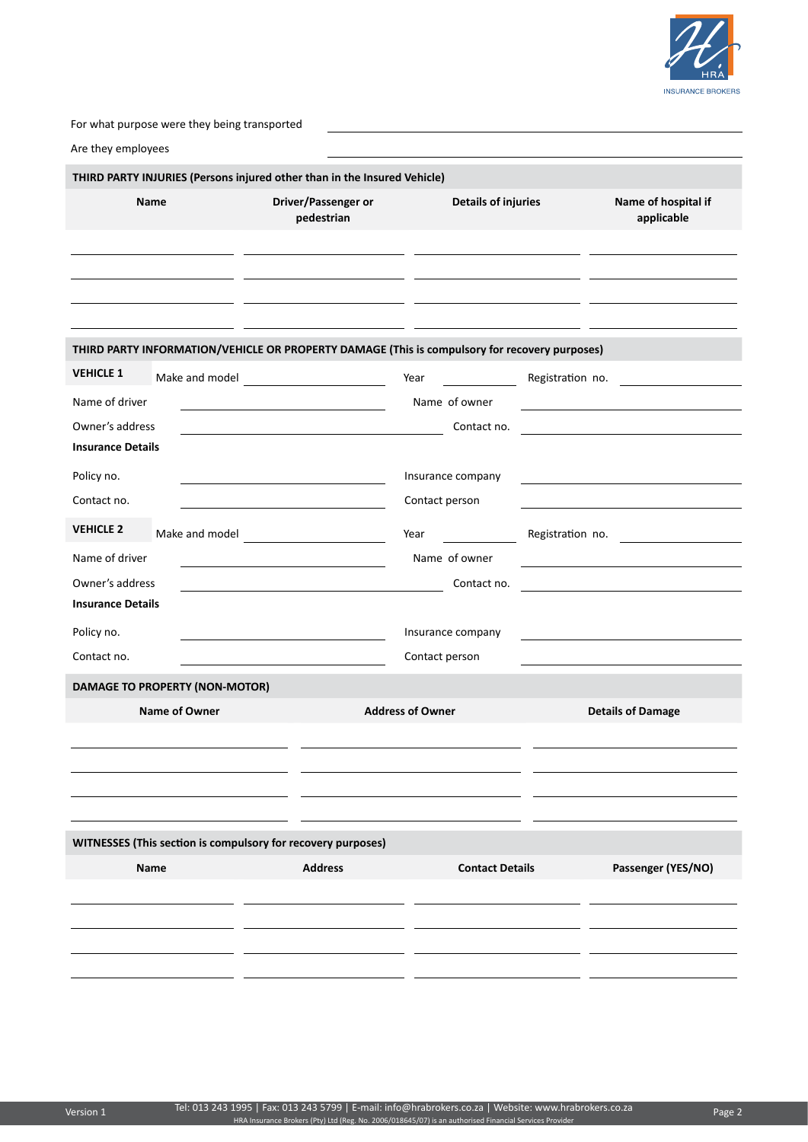

For what purpose were they being transported

| Are they employees                                            |                                       |                                                                                                                       |                              |                  |                                                                                                                       |  |  |
|---------------------------------------------------------------|---------------------------------------|-----------------------------------------------------------------------------------------------------------------------|------------------------------|------------------|-----------------------------------------------------------------------------------------------------------------------|--|--|
|                                                               |                                       | THIRD PARTY INJURIES (Persons injured other than in the Insured Vehicle)                                              |                              |                  |                                                                                                                       |  |  |
| <b>Name</b>                                                   |                                       | Driver/Passenger or<br>pedestrian                                                                                     | <b>Details of injuries</b>   |                  | Name of hospital if<br>applicable                                                                                     |  |  |
|                                                               |                                       |                                                                                                                       |                              |                  |                                                                                                                       |  |  |
|                                                               |                                       | THIRD PARTY INFORMATION/VEHICLE OR PROPERTY DAMAGE (This is compulsory for recovery purposes)                         |                              |                  |                                                                                                                       |  |  |
| <b>VEHICLE 1</b>                                              |                                       | Make and model                                                                                                        | Year                         | Registration no. |                                                                                                                       |  |  |
| Name of driver<br>Owner's address<br><b>Insurance Details</b> |                                       | <u> 1990 - Johann Barbara, martxa eta politikaria (h. 1900).</u>                                                      | Name of owner<br>Contact no. |                  | <u> 1989 - Johann Marie Barn, mars ar breist fan de Fryske kommunent fan de Fryske kommunent fan de Fryske kommun</u> |  |  |
| Policy no.                                                    |                                       |                                                                                                                       | Insurance company            |                  |                                                                                                                       |  |  |
| Contact no.                                                   |                                       |                                                                                                                       | Contact person               |                  |                                                                                                                       |  |  |
| <b>VEHICLE 2</b>                                              |                                       | Make and model                                                                                                        | Year                         | Registration no. |                                                                                                                       |  |  |
| Name of driver                                                |                                       | the control of the control of the control of the control of the control of                                            | Name of owner                |                  | the control of the control of the control of the control of the control of                                            |  |  |
| Owner's address                                               |                                       | the control of the control of the control of the control of the control of the control of                             | Contact no.                  |                  | the control of the control of the control of the control of the control of                                            |  |  |
| <b>Insurance Details</b>                                      |                                       |                                                                                                                       |                              |                  |                                                                                                                       |  |  |
| Policy no.                                                    |                                       | <u> 1980 - Jan Samuel Barbara, martin de la propinsió de la propinsió de la propinsió de la propinsió de la propi</u> | Insurance company            |                  |                                                                                                                       |  |  |
| Contact no.                                                   |                                       |                                                                                                                       | Contact person               |                  |                                                                                                                       |  |  |
|                                                               | <b>DAMAGE TO PROPERTY (NON-MOTOR)</b> |                                                                                                                       |                              |                  |                                                                                                                       |  |  |
|                                                               | <b>Name of Owner</b>                  |                                                                                                                       | <b>Address of Owner</b>      |                  | <b>Details of Damage</b>                                                                                              |  |  |
|                                                               |                                       |                                                                                                                       |                              |                  |                                                                                                                       |  |  |
|                                                               |                                       | WITNESSES (This section is compulsory for recovery purposes)                                                          |                              |                  |                                                                                                                       |  |  |
|                                                               | Name                                  | <b>Address</b>                                                                                                        | <b>Contact Details</b>       |                  | Passenger (YES/NO)                                                                                                    |  |  |
|                                                               |                                       |                                                                                                                       |                              |                  |                                                                                                                       |  |  |
|                                                               |                                       |                                                                                                                       |                              |                  |                                                                                                                       |  |  |
|                                                               |                                       |                                                                                                                       |                              |                  |                                                                                                                       |  |  |
|                                                               |                                       |                                                                                                                       |                              |                  |                                                                                                                       |  |  |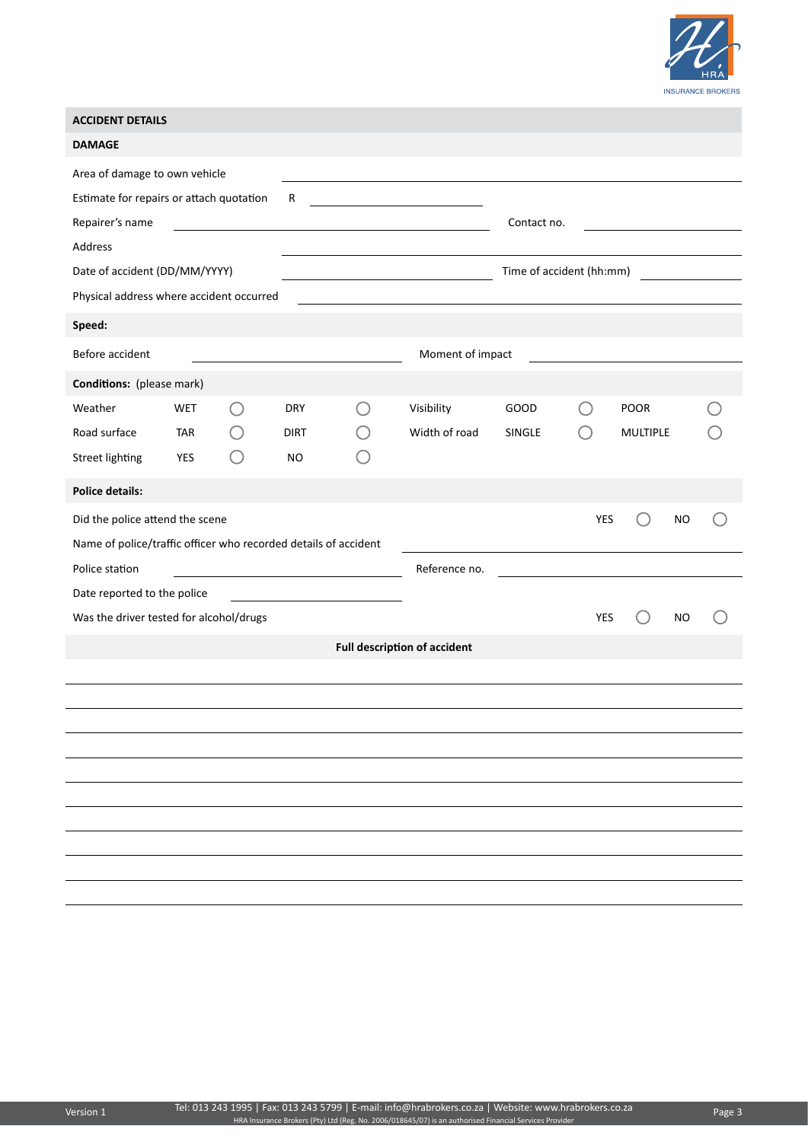

| <b>ACCIDENT DETAILS</b>                                                |            |        |                                                                                                                                                                                                                                      |  |                                                                                                                       |                                                               |            |                 |  |  |  |
|------------------------------------------------------------------------|------------|--------|--------------------------------------------------------------------------------------------------------------------------------------------------------------------------------------------------------------------------------------|--|-----------------------------------------------------------------------------------------------------------------------|---------------------------------------------------------------|------------|-----------------|--|--|--|
| <b>DAMAGE</b>                                                          |            |        |                                                                                                                                                                                                                                      |  |                                                                                                                       |                                                               |            |                 |  |  |  |
| Area of damage to own vehicle                                          |            |        |                                                                                                                                                                                                                                      |  |                                                                                                                       |                                                               |            |                 |  |  |  |
| Estimate for repairs or attach quotation                               |            |        | R                                                                                                                                                                                                                                    |  | <u> 1990 - Johann Barn, mars and de Branch Barn, mars and de Branch Barn, mars and de Branch Barn, mars and de Br</u> |                                                               |            |                 |  |  |  |
| Repairer's name                                                        |            |        | <u> 1989 - Johann Barn, mars ann an Catharine ann an t-Aonaichte ann an t-Aonaichte ann an t-Aonaichte ann an t-Ao</u>                                                                                                               |  |                                                                                                                       | Contact no.                                                   |            |                 |  |  |  |
| Address                                                                |            |        |                                                                                                                                                                                                                                      |  |                                                                                                                       |                                                               |            |                 |  |  |  |
| Date of accident (DD/MM/YYYY)                                          |            |        | <u> 1989 - Johann Barn, mars ann an t-Amhain</u>                                                                                                                                                                                     |  |                                                                                                                       | Time of accident (hh:mm)<br><b>Contract Contract Contract</b> |            |                 |  |  |  |
| Physical address where accident occurred                               |            |        |                                                                                                                                                                                                                                      |  |                                                                                                                       |                                                               |            |                 |  |  |  |
| Speed:                                                                 |            |        |                                                                                                                                                                                                                                      |  |                                                                                                                       |                                                               |            |                 |  |  |  |
| Before accident                                                        |            |        | <u>and the state of the state of the state of the state of the state of the state of the state of the state of the state of the state of the state of the state of the state of the state of the state of the state of the state</u> |  | Moment of impact                                                                                                      |                                                               |            |                 |  |  |  |
| <b>Conditions:</b> (please mark)                                       |            |        |                                                                                                                                                                                                                                      |  |                                                                                                                       |                                                               |            |                 |  |  |  |
| Weather                                                                | <b>WET</b> | $(\ )$ | <b>DRY</b>                                                                                                                                                                                                                           |  | Visibility                                                                                                            | GOOD                                                          |            | <b>POOR</b>     |  |  |  |
| Road surface                                                           | TAR        |        | <b>DIRT</b>                                                                                                                                                                                                                          |  | Width of road                                                                                                         | <b>SINGLE</b>                                                 |            | <b>MULTIPLE</b> |  |  |  |
| <b>Street lighting</b>                                                 | YES        |        | NO.                                                                                                                                                                                                                                  |  |                                                                                                                       |                                                               |            |                 |  |  |  |
| <b>Police details:</b>                                                 |            |        |                                                                                                                                                                                                                                      |  |                                                                                                                       |                                                               |            |                 |  |  |  |
| Did the police attend the scene                                        |            |        |                                                                                                                                                                                                                                      |  |                                                                                                                       |                                                               | YES        | <b>NO</b>       |  |  |  |
| Name of police/traffic officer who recorded details of accident        |            |        |                                                                                                                                                                                                                                      |  |                                                                                                                       |                                                               |            |                 |  |  |  |
| Police station                                                         |            |        |                                                                                                                                                                                                                                      |  | Reference no.                                                                                                         |                                                               |            |                 |  |  |  |
| Date reported to the police<br><u> 1980 - Johann Barbara, martin a</u> |            |        |                                                                                                                                                                                                                                      |  |                                                                                                                       |                                                               |            |                 |  |  |  |
| Was the driver tested for alcohol/drugs                                |            |        |                                                                                                                                                                                                                                      |  |                                                                                                                       |                                                               | <b>YES</b> | NO              |  |  |  |
|                                                                        |            |        |                                                                                                                                                                                                                                      |  | <b>Full description of accident</b>                                                                                   |                                                               |            |                 |  |  |  |
|                                                                        |            |        |                                                                                                                                                                                                                                      |  |                                                                                                                       |                                                               |            |                 |  |  |  |
|                                                                        |            |        |                                                                                                                                                                                                                                      |  |                                                                                                                       |                                                               |            |                 |  |  |  |
|                                                                        |            |        |                                                                                                                                                                                                                                      |  |                                                                                                                       |                                                               |            |                 |  |  |  |
|                                                                        |            |        |                                                                                                                                                                                                                                      |  |                                                                                                                       |                                                               |            |                 |  |  |  |
|                                                                        |            |        |                                                                                                                                                                                                                                      |  |                                                                                                                       |                                                               |            |                 |  |  |  |
|                                                                        |            |        |                                                                                                                                                                                                                                      |  |                                                                                                                       |                                                               |            |                 |  |  |  |
|                                                                        |            |        |                                                                                                                                                                                                                                      |  |                                                                                                                       |                                                               |            |                 |  |  |  |
|                                                                        |            |        |                                                                                                                                                                                                                                      |  |                                                                                                                       |                                                               |            |                 |  |  |  |
|                                                                        |            |        |                                                                                                                                                                                                                                      |  |                                                                                                                       |                                                               |            |                 |  |  |  |